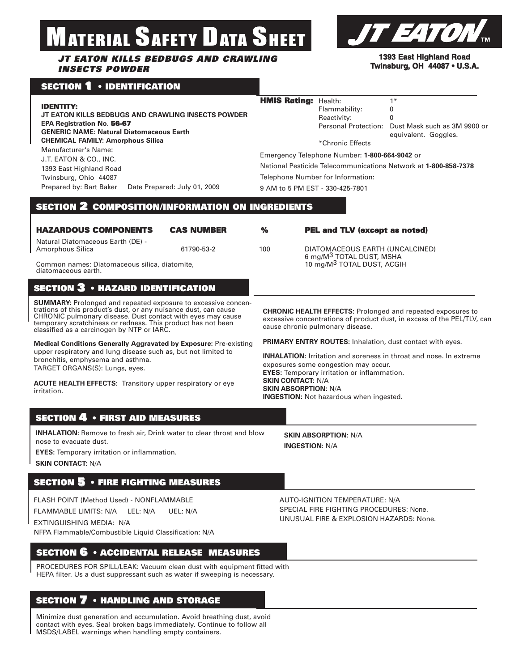# ERIAL SAFETY DATA SHEET

#### *JT EATON KILLS BEDBUGS AND CRAWLING INSECTS POWDER*



## **SECTION 1 • IDENTIFICATION**

| 1393 East Highland Road             |  |  |  |  |
|-------------------------------------|--|--|--|--|
| <b>Twinsburg, OH 44087 • U.S.A.</b> |  |  |  |  |
|                                     |  |  |  |  |
|                                     |  |  |  |  |

| Flammability:<br>Reactivity:<br><b>Personal Protection:</b><br>*Chronic Effects                                                                                                                                                                                                      | $1*$<br>0<br>0<br>Dust Mask such as 3M 9900 or<br>equivalent. Goggles.                                                                        |  |  |  |
|--------------------------------------------------------------------------------------------------------------------------------------------------------------------------------------------------------------------------------------------------------------------------------------|-----------------------------------------------------------------------------------------------------------------------------------------------|--|--|--|
| Emergency Telephone Number: 1-800-664-9042 or                                                                                                                                                                                                                                        |                                                                                                                                               |  |  |  |
| National Pesticide Telecommunications Network at 1-800-858-7378                                                                                                                                                                                                                      |                                                                                                                                               |  |  |  |
| Telephone Number for Information:                                                                                                                                                                                                                                                    |                                                                                                                                               |  |  |  |
| 9 AM to 5 PM EST - 330-425-7801                                                                                                                                                                                                                                                      |                                                                                                                                               |  |  |  |
|                                                                                                                                                                                                                                                                                      |                                                                                                                                               |  |  |  |
|                                                                                                                                                                                                                                                                                      |                                                                                                                                               |  |  |  |
|                                                                                                                                                                                                                                                                                      | <b>PEL and TLV (except as noted)</b>                                                                                                          |  |  |  |
| DIATOMACEOUS EARTH (UNCALCINED)<br>6 mg/M <sup>3</sup> TOTAL DUST, MSHA                                                                                                                                                                                                              |                                                                                                                                               |  |  |  |
| 10 mg/M <sup>3</sup> TOTAL DUST, ACGIH                                                                                                                                                                                                                                               |                                                                                                                                               |  |  |  |
|                                                                                                                                                                                                                                                                                      |                                                                                                                                               |  |  |  |
| cause chronic pulmonary disease.                                                                                                                                                                                                                                                     | <b>CHRONIC HEALTH EFFECTS: Prolonged and repeated exposures to</b><br>excessive concentrations of product dust, in excess of the PEL/TLV, can |  |  |  |
|                                                                                                                                                                                                                                                                                      | <b>PRIMARY ENTRY ROUTES:</b> Inhalation, dust contact with eyes.                                                                              |  |  |  |
| <b>INHALATION:</b> Irritation and soreness in throat and nose. In extreme<br>exposures some congestion may occur.<br><b>EYES:</b> Temporary irritation or inflammation.<br><b>SKIN CONTACT: N/A</b><br><b>SKIN ABSORPTION: N/A</b><br><b>INGESTION:</b> Not hazardous when ingested. |                                                                                                                                               |  |  |  |
|                                                                                                                                                                                                                                                                                      |                                                                                                                                               |  |  |  |
| <b>SKIN ABSORPTION: N/A</b>                                                                                                                                                                                                                                                          |                                                                                                                                               |  |  |  |
|                                                                                                                                                                                                                                                                                      |                                                                                                                                               |  |  |  |

FLASH POINT (Method Used) - NONFLAMMABLE

FLAMMABLE LIMITS: N/A LEL: N/A UEL: N/A

EXTINGUISHING MEDIA: N/A

NFPA Flammable/Combustible Liquid Classification: N/A

#### **SECTION 6 • ACCIDENTAL RELEASE MEASURES**

PROCEDURES FOR SPILL/LEAK: Vacuum clean dust with equipment fitted with HEPA filter. Us a dust suppressant such as water if sweeping is necessary.

#### **SECTION 7 • HANDLING AND STORAGE**

Minimize dust generation and accumulation. Avoid breathing dust, avoid contact with eyes. Seal broken bags immediately. Continue to follow all MSDS/LABEL warnings when handling empty containers.

AUTO-IGNITION TEMPERATURE: N/A SPECIAL FIRE FIGHTING PROCEDURES: None. UNUSUAL FIRE & EXPLOSION HAZARDS: None.